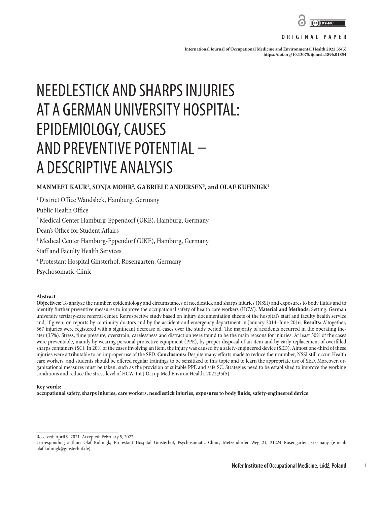

#### **ORIGINAL PAPER**

**International Journal of Occupational Medicine and Environmental Health 2022;35(5) <https://doi.org/10.13075/ijomeh.1896.01854>**

# NEEDLESTICK AND SHARPS INJURIES AT A GERMAN UNIVERSITY HOSPITAL: EPIDEMIOLOGY, CAUSES AND PREVENTIVE POTENTIAL – A DESCRIPTIVE ANALYSIS

# **MANMEET KAUR1 , SONJA MOHR2 , GABRIELE ANDERSEN3 , and OLAF KUHNIGK4**

1 District Office Wandsbek, Hamburg, Germany

Public Health Office

2 Medical Center Hamburg-Eppendorf (UKE), Hamburg, Germany

Dean's Office for Student Affairs

3 Medical Center Hamburg-Eppendorf (UKE), Hamburg, Germany

Staff and Faculty Health Services

4 Protestant Hospital Ginsterhof, Rosengarten, Germany

Psychosomatic Clinic

#### **Abstract**

**Objectives:** To analyze the number, epidemiology and circumstances of needlestick and sharps injuries (NSSI) and exposures to body fluids and to identify further preventive measures to improve the occupational safety of health care workers (HCW). **Material and Methods:** Setting: German university tertiary-care referral center. Retrospective study based on injury documentation sheets of the hospital's staff and faculty health service and, if given, on reports by continuity doctors and by the accident and emergency department in January 2014–June 2016. **Results:** Altogether, 567 injuries were registered with a significant decrease of cases over the study period. The majority of accidents occurred in the operating theater (35%). Stress, time pressure, overstrain, carelessness and distraction were found to be the main reasons for injuries. At least 30% of the cases were preventable, mainly by wearing personal protective equipment (PPE), by proper disposal of an item and by early replacement of overfilled sharps containers (SC). In 20% of the cases involving an item, the injury was caused by a safety-engineered device (SED). Almost one-third of these injuries were attributable to an improper use of the SED. **Conclusions:** Despite many efforts made to reduce their number, NSSI still occur. Health care workers and students should be offered regular trainings to be sensitized to this topic and to learn the appropriate use of SED. Moreover, organizational measures must be taken, such as the provision of suitable PPE and safe SC. Strategies need to be established to improve the working conditions and reduce the stress level of HCW. Int J Occup Med Environ Health. 2022;35(5)

#### **Key words:**

**occupational safety, sharps injuries, care workers, needlestick injuries, exposures to body fluids, safety-engineered device**

Received: April 9, 2021. Accepted: February 5, 2022.

**1**

Corresponding author: Olaf Kuhnigk, Protestant Hospital Ginsterhof, Psychosomatic Clinic, Metzendorfer Weg 21, 21224 Rosengarten, Germany (e-mail: olaf.kuhnigk@ginsterhof.de).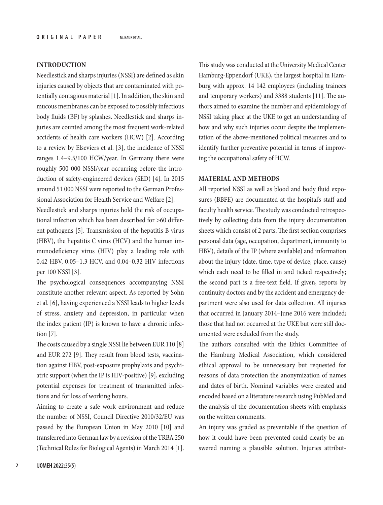# **INTRODUCTION**

Needlestick and sharps injuries (NSSI) are defined as skin injuries caused by objects that are contaminated with potentially contagious material [1]. In addition, the skin and mucous membranes can be exposed to possibly infectious body fluids (BF) by splashes. Needlestick and sharps injuries are counted among the most frequent work-related accidents of health care workers (HCW) [2]. According to a review by Elseviers et al. [3], the incidence of NSSI ranges 1.4–9.5/100 HCW/year. In Germany there were roughly 500 000 NSSI/year occurring before the introduction of safety-engineered devices (SED) [4]. In 2015 around 51 000 NSSI were reported to the German Professional Association for Health Service and Welfare [2].

Needlestick and sharps injuries hold the risk of occupational infection which has been described for >60 different pathogens [5]. Transmission of the hepatitis B virus (HBV), the hepatitis C virus (HCV) and the human immunodeficiency virus (HIV) play a leading role with 0.42 HBV, 0.05–1.3 HCV, and 0.04–0.32 HIV infections per 100 NSSI [3].

The psychological consequences accompanying NSSI constitute another relevant aspect. As reported by Sohn et al. [6], having experienced a NSSI leads to higher levels of stress, anxiety and depression, in particular when the index patient (IP) is known to have a chronic infection [7].

The costs caused by a single NSSI lie between EUR 110 [8] and EUR 272 [9]. They result from blood tests, vaccination against HBV, post-exposure prophylaxis and psychiatric support (when the IP is HIV-positive) [9], excluding potential expenses for treatment of transmitted infections and for loss of working hours.

Aiming to create a safe work environment and reduce the number of NSSI, Council Directive 2010/32/EU was passed by the European Union in May 2010 [10] and transferred into German law by a revision of the TRBA 250 (Technical Rules for Biological Agents) in March 2014 [1]. This study was conducted at the University Medical Center Hamburg-Eppendorf (UKE), the largest hospital in Hamburg with approx. 14 142 employees (including trainees and temporary workers) and 3388 students [11]. The authors aimed to examine the number and epidemiology of NSSI taking place at the UKE to get an understanding of how and why such injuries occur despite the implementation of the above-mentioned political measures and to identify further preventive potential in terms of improving the occupational safety of HCW.

# **MATERIAL AND METHODS**

All reported NSSI as well as blood and body fluid exposures (BBFE) are documented at the hospital's staff and faculty health service. The study was conducted retrospectively by collecting data from the injury documentation sheets which consist of 2 parts. The first section comprises personal data (age, occupation, department, immunity to HBV), details of the IP (where available) and information about the injury (date, time, type of device, place, cause) which each need to be filled in and ticked respectively; the second part is a free-text field. If given, reports by continuity doctors and by the accident and emergency department were also used for data collection. All injuries that occurred in January 2014–June 2016 were included; those that had not occurred at the UKE but were still documented were excluded from the study.

The authors consulted with the Ethics Committee of the Hamburg Medical Association, which considered ethical approval to be unnecessary but requested for reasons of data protection the anonymization of names and dates of birth. Nominal variables were created and encoded based on a literature research using PubMed and the analysis of the documentation sheets with emphasis on the written comments.

An injury was graded as preventable if the question of how it could have been prevented could clearly be answered naming a plausible solution. Injuries attribut-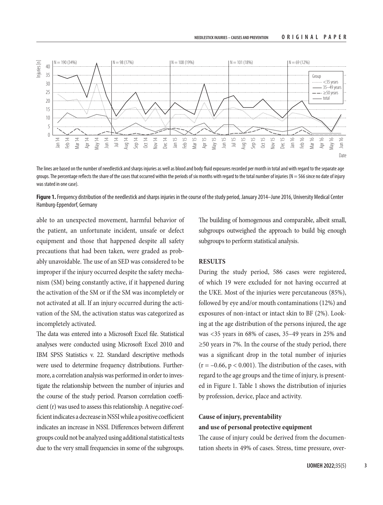

The lines are based on the number of needlestick and sharps injuries as well as blood and body fluid exposures recorded per month in total and with regard to the separate age groups. The percentage reflects the share of the cases that occurred within the periods of six months with regard to the total number of injuries ( $N = 566$  since no date of injury was stated in one case).

**Figure 1.** Frequency distribution of the needlestick and sharps injuries in the course of the study period, January 2014–June 2016, University Medical Center Hamburg-Eppendorf, Germany

able to an unexpected movement, harmful behavior of the patient, an unfortunate incident, unsafe or defect equipment and those that happened despite all safety precautions that had been taken, were graded as probably unavoidable. The use of an SED was considered to be improper if the injury occurred despite the safety mechanism (SM) being constantly active, if it happened during the activation of the SM or if the SM was incompletely or not activated at all. If an injury occurred during the activation of the SM, the activation status was categorized as incompletely activated.

The data was entered into a Microsoft Excel file. Statistical analyses were conducted using Microsoft Excel 2010 and IBM SPSS Statistics v. 22. Standard descriptive methods were used to determine frequency distributions. Furthermore, a correlation analysis was performed in order to investigate the relationship between the number of injuries and the course of the study period. Pearson correlation coefficient (r) was used to assess this relationship. A negative coefficient indicates a decrease in NSSI while a positive coefficient indicates an increase in NSSI. Differences between different groups could not be analyzed using additional statistical tests  $\frac{3}{2}$  as  $\frac{3}{2}$   $\frac{3}{2}$   $\frac{3}{2}$   $\frac{3}{2}$   $\frac{3}{2}$   $\frac{3}{2}$   $\frac{3}{2}$   $\frac{3}{2}$   $\frac{3}{2}$   $\frac{3}{2}$   $\frac{3}{2}$   $\frac{3}{2}$   $\frac{3}{2}$   $\frac{3}{2}$   $\frac{3}{2}$   $\frac{3}{2}$   $\frac{3}{2}$   $\frac{3}{2}$   $\frac{3}{2}$   $\frac{3}{2}$   $\frac{3}{2}$ 

The building of homogenous and comparable, albeit small, subgroups outweighed the approach to build big enough subgroups to perform statistical analysis.

# **RESULTS**

During the study period, 586 cases were registered, of which 19 were excluded for not having occurred at the UKE. Most of the injuries were percutaneous (85%), followed by eye and/or mouth contaminations (12%) and exposures of non-intact or intact skin to BF (2%). Looking at the age distribution of the persons injured, the age was <35 years in 68% of cases, 35–49 years in 25% and ≥50 years in 7%. In the course of the study period, there was a significant drop in the total number of injuries  $(r = -0.66, p < 0.001)$ . The distribution of the cases, with regard to the age groups and the time of injury, is presented in Figure 1. Table 1 shows the distribution of injuries by profession, device, place and activity.

# **Cause of injury, preventability and use of personal protective equipment**

The cause of injury could be derived from the documentation sheets in 49% of cases. Stress, time pressure, over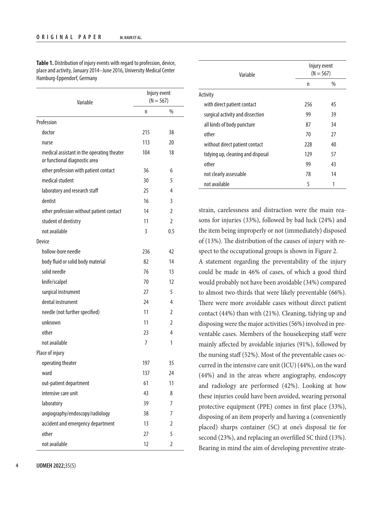**Table 1.** Distribution of injury events with regard to profession, device, place and activity, January 2014–June 2016, University Medical Center Hamburg-Eppendorf, Germany

| Variable                                                                    | Injury event<br>$(N = 567)$ |                |
|-----------------------------------------------------------------------------|-----------------------------|----------------|
|                                                                             | n                           | $\%$           |
| Profession                                                                  |                             |                |
| doctor                                                                      | 215                         | 38             |
| nurse                                                                       | 113                         | 20             |
| medical assistant in the operating theater<br>or functional diagnostic area | 104                         | 18             |
| other profession with patient contact                                       | 36                          | 6              |
| medical student                                                             | 30                          | 5              |
| laboratory and research staff                                               | 25                          | 4              |
| dentist                                                                     | 16                          | 3              |
| other profession without patient contact                                    | 14                          | $\mathfrak{I}$ |
| student of dentistry                                                        | 11                          | $\overline{2}$ |
| not available                                                               | 3                           | 0.5            |
| Device                                                                      |                             |                |
| hollow-bore needle                                                          | 236                         | 42             |
| body fluid or solid body material                                           | 82                          | 14             |
| solid needle                                                                | 76                          | 13             |
| knife/scalpel                                                               | 70                          | 12             |
| surgical instrument                                                         | 27                          | 5              |
| dental instrument                                                           | 24                          | 4              |
| needle (not further specified)                                              | 11                          | 2              |
| unknown                                                                     | 11                          | 2              |
| other                                                                       | 23                          | 4              |
| not available                                                               | 7                           | 1              |
| Place of injury                                                             |                             |                |
| operating theater                                                           | 197                         | 35             |
| ward                                                                        | 137                         | 24             |
| out-patient department                                                      | 61                          | 11             |
| intensive care unit                                                         | 43                          | 8              |
| laboratory                                                                  | 39                          | 7              |
| angiography/endoscopy/radiology                                             | 38                          | 7              |
| accident and emergency department                                           | 13                          | 2              |
| other                                                                       | 27                          | 5              |
| not available                                                               | 12                          | $\overline{2}$ |

| Variable                          |     | Injury event<br>$(N = 567)$ |  |
|-----------------------------------|-----|-----------------------------|--|
|                                   | n   | $\%$                        |  |
| Activity                          |     |                             |  |
| with direct patient contact       | 256 | 45                          |  |
| surgical activity and dissection  | 99  | 39                          |  |
| all kinds of body puncture        | 87  | 34                          |  |
| other                             | 70  | 27                          |  |
| without direct patient contact    | 228 | 40                          |  |
| tidying up, cleaning and disposal | 129 | 57                          |  |
| other                             | 99  | 43                          |  |
| not clearly assessable            | 78  | 14                          |  |
| not available                     | 5   | 1                           |  |

strain, carelessness and distraction were the main reasons for injuries (33%), followed by bad luck (24%) and the item being improperly or not (immediately) disposed of (13%). The distribution of the causes of injury with respect to the occupational groups is shown in Figure 2. A statement regarding the preventability of the injury could be made in 46% of cases, of which a good third would probably not have been avoidable (34%) compared to almost two-thirds that were likely preventable (66%). There were more avoidable cases without direct patient contact (44%) than with (21%). Cleaning, tidying up and disposing were the major activities (56%) involved in preventable cases. Members of the housekeeping staff were mainly affected by avoidable injuries (91%), followed by the nursing staff (52%). Most of the preventable cases occurred in the intensive care unit (ICU) (44%), on the ward (44%) and in the areas where angiography, endoscopy and radiology are performed (42%). Looking at how these injuries could have been avoided, wearing personal protective equipment (PPE) comes in first place (33%), disposing of an item properly and having a (conveniently placed) sharps container (SC) at one's disposal tie for second (23%), and replacing an overfilled SC third (13%). Bearing in mind the aim of developing preventive strate-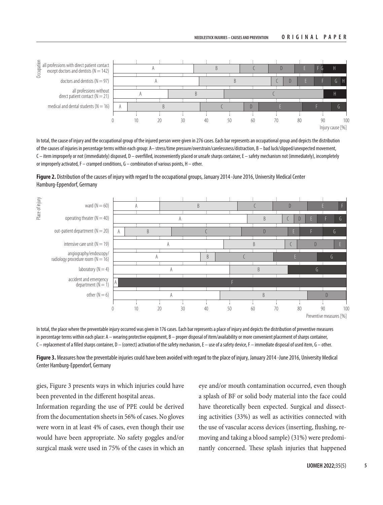

In total, the cause of injury and the occupational group of the injured person were given in 276 cases. Each bar represents an occupational group and depicts the distribution of the causes of injuries in percentage terms within each group: A– stress/time pressure/overstrain/carelessness/distraction, B – bad luck/slipped/unexpected movement, C – item improperly or not (immediately) disposed, D – overfilled, inconveniently placed or unsafe sharps container, E – safety mechanism not (immediately), incompletely or improperly activated, F – cramped conditions, G – combination of various points, H – other.

**Figure 2.** Distribution of the causes of injury with regard to the occupational groups, January 2014 -June 2016, University Medical Center Hamburg-Eppendorf, Germany



In total, the place where the preventable injury occurred was given in 176 cases. Each bar represents a place of injury and depicts the distribution of preventive measures in percentage terms within each place:  $A -$  wearing protective equipment,  $B -$  proper disposal of item/availability or more convenient placement of sharps container, C – replacement of a filled sharps container, D – (correct) activation of the safety mechanism, E – use of a safety device, F – immediate disposal of used item, G – other.

**Figure 3.** Measures how the preventable injuries could have been avoided with regard to the place of injury, January 2014 -June 2016, University Medical Center Hamburg-Eppendorf, Germany

gies, Figure 3 presents ways in which injuries could have been prevented in the different hospital areas.

Information regarding the use of PPE could be derived from the documentation sheets in 56% of cases. No gloves were worn in at least 4% of cases, even though their use would have been appropriate. No safety goggles and/or surgical mask were used in 75% of the cases in which an eye and/or mouth contamination occurred, even though a splash of BF or solid body material into the face could have theoretically been expected. Surgical and dissecting activities (33%) as well as activities connected with the use of vascular access devices (inserting, flushing, removing and taking a blood sample) (31%) were predominantly concerned. These splash injuries that happened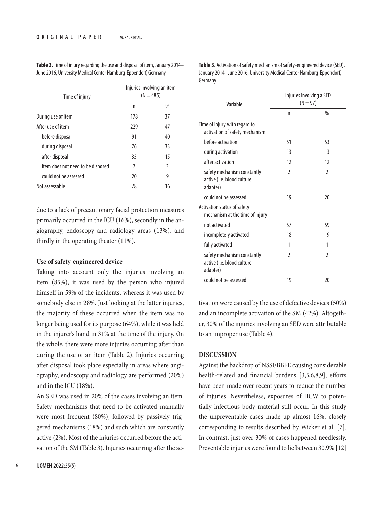| Time of injury                    | Injuries involving an item<br>$(N = 485)$ |      |
|-----------------------------------|-------------------------------------------|------|
|                                   | n                                         | $\%$ |
| During use of item                | 178                                       | 37   |
| After use of item                 | 229                                       | 47   |
| before disposal                   | 91                                        | 40   |
| during disposal                   | 76                                        | 33   |
| after disposal                    | 35                                        | 15   |
| item does not need to be disposed | 7                                         | 3    |
| could not be assessed             | 20                                        | 9    |
| Not assessable                    | 78                                        | 16   |

**Table 2.** Time of injury regarding the use and disposal of item, January 2014– June 2016, University Medical Center Hamburg-Eppendorf, Germany

due to a lack of precautionary facial protection measures primarily occurred in the ICU (16%), secondly in the angiography, endoscopy and radiology areas (13%), and thirdly in the operating theater (11%).

## **Use of safety-engineered device**

Taking into account only the injuries involving an item (85%), it was used by the person who injured himself in 59% of the incidents, whereas it was used by somebody else in 28%. Just looking at the latter injuries, the majority of these occurred when the item was no longer being used for its purpose (64%), while it was held in the injurer's hand in 31% at the time of the injury. On the whole, there were more injuries occurring after than during the use of an item (Table 2). Injuries occurring after disposal took place especially in areas where angiography, endoscopy and radiology are performed (20%) and in the ICU (18%).

An SED was used in 20% of the cases involving an item. Safety mechanisms that need to be activated manually were most frequent (80%), followed by passively triggered mechanisms (18%) and such which are constantly active (2%). Most of the injuries occurred before the activation of the SM (Table 3). Injuries occurring after the ac**Table 3.** Activation of safety mechanism of safety-engineered device (SED), January 2014–June 2016, University Medical Center Hamburg-Eppendorf, Germany

| Variable                                                              | Injuries involving a SED<br>$(N = 97)$ |                 |
|-----------------------------------------------------------------------|----------------------------------------|-----------------|
|                                                                       | n                                      | $\%$            |
| Time of injury with regard to<br>activation of safety mechanism       |                                        |                 |
| before activation                                                     | 51                                     | 53              |
| during activation                                                     | 13                                     | 13              |
| after activation                                                      | 12                                     | 12              |
| safety mechanism constantly<br>active (i.e. blood culture<br>adapter) | $\mathfrak z$                          | $\mathfrak{D}$  |
| could not be assessed                                                 | 19                                     | 20              |
| Activation status of safety<br>mechanism at the time of injury        |                                        |                 |
| not activated                                                         | 57                                     | 59              |
| incompletely activated                                                | 18                                     | 19              |
| fully activated                                                       | 1                                      | 1               |
| safety mechanism constantly<br>active (i.e. blood culture<br>adapter) | 2                                      | $\mathfrak z$   |
| could not be assessed                                                 | 19                                     | $\overline{20}$ |

tivation were caused by the use of defective devices (50%) and an incomplete activation of the SM (42%). Altogether, 30% of the injuries involving an SED were attributable to an improper use (Table 4).

#### **DISCUSSION**

Against the backdrop of NSSI/BBFE causing considerable health-related and financial burdens [3,5,6,8,9], efforts have been made over recent years to reduce the number of injuries. Nevertheless, exposures of HCW to potentially infectious body material still occur. In this study the unpreventable cases made up almost 16%, closely corresponding to results described by Wicker et al. [7]. In contrast, just over 30% of cases happened needlessly. Preventable injuries were found to lie between 30.9% [12]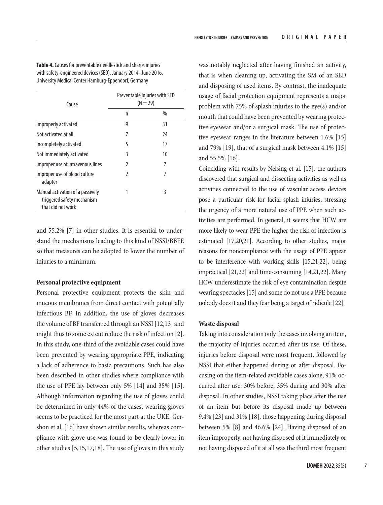**Table 4.** Causes for preventable needlestick and sharps injuries with safety-engineered devices (SED), January 2014–June 2016, University Medical Center Hamburg-Eppendorf, Germany

| Cause                                                                               | Preventable injuries with SED<br>$(N = 29)$ |      |
|-------------------------------------------------------------------------------------|---------------------------------------------|------|
|                                                                                     | n                                           | $\%$ |
| Improperly activated                                                                | 9                                           | 31   |
| Not activated at all                                                                | 7                                           | 24   |
| Incompletely activated                                                              | 5                                           | 17   |
| Not immediately activated                                                           | 3                                           | 10   |
| Improper use of intravenous lines                                                   | I.                                          | 7    |
| Improper use of blood culture<br>adapter                                            | I.                                          | 7    |
| Manual activation of a passively<br>triggered safety mechanism<br>that did not work | 1                                           | 3    |

and 55.2% [7] in other studies. It is essential to understand the mechanisms leading to this kind of NSSI/BBFE so that measures can be adopted to lower the number of injuries to a minimum.

#### **Personal protective equipment**

Personal protective equipment protects the skin and mucous membranes from direct contact with potentially infectious BF. In addition, the use of gloves decreases the volume of BF transferred through an NSSI [12,13] and might thus to some extent reduce the risk of infection [2]. In this study, one-third of the avoidable cases could have been prevented by wearing appropriate PPE, indicating a lack of adherence to basic precautions. Such has also been described in other studies where compliance with the use of PPE lay between only 5% [14] and 35% [15]. Although information regarding the use of gloves could be determined in only 44% of the cases, wearing gloves seems to be practiced for the most part at the UKE. Gershon et al. [16] have shown similar results, whereas compliance with glove use was found to be clearly lower in other studies [5,15,17,18]. The use of gloves in this study

was notably neglected after having finished an activity, that is when cleaning up, activating the SM of an SED and disposing of used items. By contrast, the inadequate usage of facial protection equipment represents a major problem with 75% of splash injuries to the eye(s) and/or mouth that could have been prevented by wearing protective eyewear and/or a surgical mask. The use of protective eyewear ranges in the literature between 1.6% [15] and 79% [19], that of a surgical mask between 4.1% [15] and 55.5% [16].

Coinciding with results by Nelsing et al. [15], the authors discovered that surgical and dissecting activities as well as activities connected to the use of vascular access devices pose a particular risk for facial splash injuries, stressing the urgency of a more natural use of PPE when such activities are performed. In general, it seems that HCW are more likely to wear PPE the higher the risk of infection is estimated [17,20,21]. According to other studies, major reasons for noncompliance with the usage of PPE appear to be interference with working skills [15,21,22], being impractical [21,22] and time-consuming [14,21,22]. Many HCW underestimate the risk of eye contamination despite wearing spectacles [15] and some do not use a PPE because nobody does it and they fear being a target of ridicule [22].

#### **Waste disposal**

Taking into consideration only the cases involving an item, the majority of injuries occurred after its use. Of these, injuries before disposal were most frequent, followed by NSSI that either happened during or after disposal. Focusing on the item-related avoidable cases alone, 91% occurred after use: 30% before, 35% during and 30% after disposal. In other studies, NSSI taking place after the use of an item but before its disposal made up between 9.4% [23] and 31% [18], those happening during disposal between 5% [8] and 46.6% [24]. Having disposed of an item improperly, not having disposed of it immediately or not having disposed of it at all was the third most frequent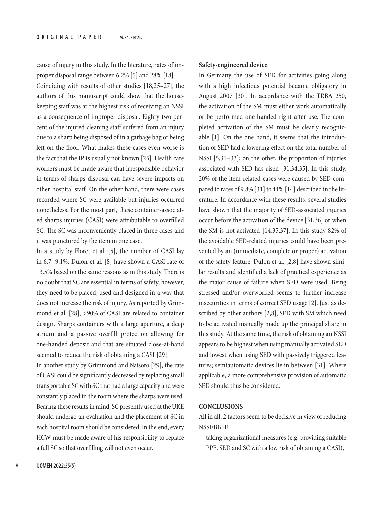cause of injury in this study. In the literature, rates of improper disposal range between 6.2% [5] and 28% [18]. Coinciding with results of other studies [18,25–27], the authors of this manuscript could show that the housekeeping staff was at the highest risk of receiving an NSSI as a consequence of improper disposal. Eighty-two percent of the injured cleaning staff suffered from an injury due to a sharp being disposed of in a garbage bag or being left on the floor. What makes these cases even worse is the fact that the IP is usually not known [25]. Health care workers must be made aware that irresponsible behavior in terms of sharps disposal can have severe impacts on other hospital staff. On the other hand, there were cases recorded where SC were available but injuries occurred nonetheless. For the most part, these container-associated sharps injuries (CASI) were attributable to overfilled SC. The SC was inconveniently placed in three cases and it was punctured by the item in one case.

In a study by Floret et al. [5], the number of CASI lay in 6.7–9.1%. Dulon et al. [8] have shown a CASI rate of 13.5% based on the same reasons as in this study. There is no doubt that SC are essential in terms of safety, however, they need to be placed, used and designed in a way that does not increase the risk of injury. As reported by Grimmond et al. [28], >90% of CASI are related to container design. Sharps containers with a large aperture, a deep atrium and a passive overfill protection allowing for one-handed deposit and that are situated close-at-hand seemed to reduce the risk of obtaining a CASI [29].

In another study by Grimmond and Naisoro [29], the rate of CASI could be significantly decreased by replacing small transportable SC with SC that had a large capacity and were constantly placed in the room where the sharps were used. Bearing these results in mind, SC presently used at the UKE should undergo an evaluation and the placement of SC in each hospital room should be considered. In the end, every HCW must be made aware of his responsibility to replace a full SC so that overfilling will not even occur.

# **8 IJOMEH 2022;**35(5)

#### **Safety-engineered device**

In Germany the use of SED for activities going along with a high infectious potential became obligatory in August 2007 [30]. In accordance with the TRBA 250, the activation of the SM must either work automatically or be performed one-handed right after use. The completed activation of the SM must be clearly recognizable [1]. On the one hand, it seems that the introduction of SED had a lowering effect on the total number of NSSI [5,31–33]; on the other, the proportion of injuries associated with SED has risen [31,34,35]. In this study, 20% of the item-related cases were caused by SED compared to rates of 9.8% [31] to 44% [14] described in the literature. In accordance with these results, several studies have shown that the majority of SED-associated injuries occur before the activation of the device [31,36] or when the SM is not activated [14,35,37]. In this study 82% of the avoidable SED-related injuries could have been prevented by an (immediate, complete or proper) activation of the safety feature. Dulon et al. [2,8] have shown similar results and identified a lack of practical experience as the major cause of failure when SED were used. Being stressed and/or overworked seems to further increase insecurities in terms of correct SED usage [2]. Just as described by other authors [2,8], SED with SM which need to be activated manually made up the principal share in this study. At the same time, the risk of obtaining an NSSI appears to be highest when using manually activated SED and lowest when using SED with passively triggered features; semiautomatic devices lie in between [31]. Where applicable, a more comprehensive provision of automatic SED should thus be considered.

# **CONCLUSIONS**

All in all, 2 factors seem to be decisive in view of reducing NSSI/BBFE:

– taking organizational measures (e.g. providing suitable PPE, SED and SC with a low risk of obtaining a CASI),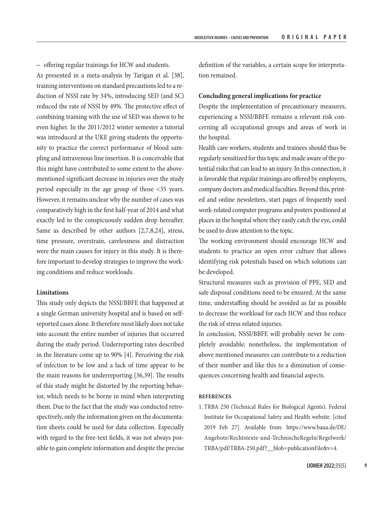– offering regular trainings for HCW and students.

As presented in a meta-analysis by Tarigan et al. [38], training interventions on standard precautions led to a reduction of NSSI rate by 34%, introducing SED (and SC) reduced the rate of NSSI by 49%. The protective effect of combining training with the use of SED was shown to be even higher. In the 2011/2012 winter semester a tutorial was introduced at the UKE giving students the opportunity to practice the correct performance of blood sampling and intravenous line insertion. It is conceivable that this might have contributed to some extent to the abovementioned significant decrease in injuries over the study period especially in the age group of those <35 years. However, it remains unclear why the number of cases was comparatively high in the first half-year of 2014 and what exactly led to the conspicuously sudden drop hereafter. Same as described by other authors [2,7,8,24], stress, time pressure, overstrain, carelessness and distraction were the main causes for injury in this study. It is therefore important to develop strategies to improve the working conditions and reduce workloads.

#### **Limitations**

This study only depicts the NSSI/BBFE that happened at a single German university hospital and is based on selfreported cases alone. It therefore most likely does not take into account the entire number of injuries that occurred during the study period. Underreporting rates described in the literature come up to 90% [4]. Perceiving the risk of infection to be low and a lack of time appear to be the main reasons for underreporting [36,39]. The results of this study might be distorted by the reporting behavior, which needs to be borne in mind when interpreting them. Due to the fact that the study was conducted retrospectively, only the information given on the documentation sheets could be used for data collection. Especially with regard to the free-text fields, it was not always possible to gain complete information and despite the precise definition of the variables, a certain scope for interpretation remained.

# **Concluding general implications for practice**

Despite the implementation of precautionary measures, experiencing a NSSI/BBFE remains a relevant risk concerning all occupational groups and areas of work in the hospital.

Health care workers, students and trainees should thus be regularly sensitized for this topic and made aware of the potential risks that can lead to an injury. In this connection, it is favorable that regular trainings are offered by employers, company doctors and medical faculties. Beyond this, printed and online newsletters, start pages of frequently used work-related computer programs and posters positioned at places in the hospital where they easily catch the eye, could be used to draw attention to the topic.

The working environment should encourage HCW and students to practice an open error culture that allows identifying risk potentials based on which solutions can be developed.

Structural measures such as provision of PPE, SED and safe disposal conditions need to be ensured. At the same time, understaffing should be avoided as far as possible to decrease the workload for each HCW and thus reduce the risk of stress related injuries.

In conclusion, NSSI/BBFE will probably never be completely avoidable; nonetheless, the implementation of above mentioned measures can contribute to a reduction of their number and like this to a diminution of consequences concerning health and financial aspects.

# **REFERENCES**

1. TRBA 250 (Technical Rules for Biological Agents). Federal Institute for Occupational Safety and Health website. [cited 2019 Feb 27]. Available from: [https://www.baua.de/DE/](https://www.baua.de/DE/Angebote/Rechtstexte-und-TechnischeRegeln/Regelwerk/TRBA/pdf/TRBA-250.pdf?__blob=publicationFile&v=4) [Angebote/Rechtstexte-und-TechnischeRegeln/Regelwerk/](https://www.baua.de/DE/Angebote/Rechtstexte-und-TechnischeRegeln/Regelwerk/TRBA/pdf/TRBA-250.pdf?__blob=publicationFile&v=4) [TRBA/pdf/TRBA-250.pdf?\\_\\_blob=publicationFile&v=4](https://www.baua.de/DE/Angebote/Rechtstexte-und-TechnischeRegeln/Regelwerk/TRBA/pdf/TRBA-250.pdf?__blob=publicationFile&v=4).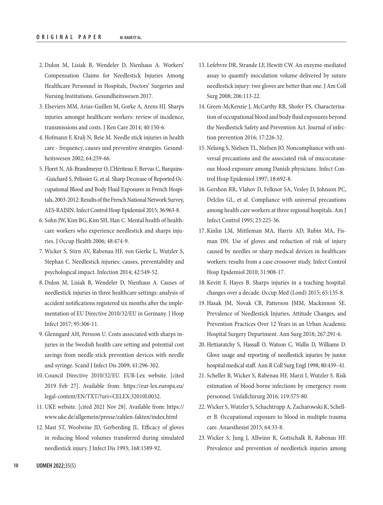- 2. Dulon M, Lisiak B, Wendeler D, Nienhaus A. Workers' Compensation Claims for Needlestick Injuries Among Healthcare Personnel in Hospitals, Doctors' Surgeries and Nursing Institutions. Gesundheitswesen 2017.
- 3. Elseviers MM, Arias-Guillen M, Gorke A, Arens HJ. Sharps injuries amongst healthcare workers: review of incidence, transmissions and costs. J Ren Care 2014; 40:150-6.
- 4. Hofmann F, Kralj N, Beie M. Needle stick injuries in health care - frequency, causes und preventive strategies. Gesundheitswesen 2002; 64:259-66.
- 5. Floret N, Ali-Brandmeyer O, L'Hériteau F, Bervas C, Barquins- -Guichard S, Pelissier G, et al. Sharp Decrease of Reported Occupational Blood and Body Fluid Exposures in French Hospitals, 2003-2012: Results of the French National Network Survey, AES-RAISIN. Infect Control Hosp Epidemiol 2015; 36:963-8.
- 6. Sohn JW, Kim BG, Kim SH, Han C. Mental health of healthcare workers who experience needlestick and sharps injuries. J Occup Health 2006; 48:474-9.
- 7. Wicker S, Stirn AV, Rabenau HF, von Gierke L, Wutzler S, Stephan C. Needlestick injuries: causes, preventability and psychological impact. Infection 2014; 42:549-52.
- 8. Dulon M, Lisiak B, Wendeler D, Nienhaus A. Causes of needlestick injuries in three healthcare settings: analysis of accident notifications registered six months after the implementation of EU Directive 2010/32/EU in Germany. J Hosp Infect 2017; 95:306-11.
- 9. Glenngard AH, Persson U. Costs associated with sharps injuries in the Swedish health care setting and potential cost savings from needle-stick prevention devices with needle and syringe. Scand J Infect Dis 2009; 41:296-302.
- 10. Council Directive 2010/32/EU. EUR-Lex website. [cited 2019 Feb 27]. Available from: [https://eur-lex.europa.eu/](https://eur-lex.europa.eu/legal-content/EN/TXT/?uri=CELEX:32010L0032) [legal-content/EN/TXT/?uri=CELEX:32010L0032](https://eur-lex.europa.eu/legal-content/EN/TXT/?uri=CELEX:32010L0032).
- 11. UKE website. [cited 2021 Nov 28]. Available from: [https://](https://www.uke.de/allgemein/presse/zahlen-fakten/index.html) [www.uke.de/allgemein/presse/zahlen-fakten/index.html](https://www.uke.de/allgemein/presse/zahlen-fakten/index.html)
- 12. Mast ST, Woolwine JD, Gerberding JL. Efficacy of gloves in reducing blood volumes transferred during simulated needlestick injury. J Infect Dis 1993; 168:1589-92.
- 13. Lefebvre DR, Strande LF, Hewitt CW. An enzyme-mediated assay to quantify inoculation volume delivered by suture needlestick injury: two gloves are better than one. J Am Coll Surg 2008; 206:113-22.
- 14. Green-McKenzie J, McCarthy RB, Shofer FS. Characterisation of occupational blood and body fluid exposures beyond the Needlestick Safety and Prevention Act. Journal of infection prevention 2016; 17:226-32.
- 15. Nelsing S, Nielsen TL, Nielsen JO. Noncompliance with universal precautions and the associated risk of mucocutaneous blood exposure among Danish physicians. Infect Control Hosp Epidemiol 1997; 18:692-8.
- 16. Gershon RR, Vlahov D, Felknor SA, Vesley D, Johnson PC, Delclos GL, et al. Compliance with universal precautions among health care workers at three regional hospitals. Am J Infect Control 1995; 23:225-36.
- 17. Kinlin LM, Mittleman MA, Harris AD, Rubin MA, Fisman DN. Use of gloves and reduction of risk of injury caused by needles or sharp medical devices in healthcare workers: results from a case crossover study. Infect Control Hosp Epidemiol 2010; 31:908-17.
- 18. Kevitt F, Hayes B. Sharps injuries in a teaching hospital: changes over a decade. Occup Med (Lond) 2015; 65:135-8.
- 19. Hasak JM, Novak CB, Patterson JMM, Mackinnon SE. Prevalence of Needlestick Injuries, Attitude Changes, and Prevention Practices Over 12 Years in an Urban Academic Hospital Surgery Department. Ann Surg 2018; 267:291-6.
- 20. Hettiaratchy S, Hassall O, Watson C, Wallis D, Williams D. Glove usage and reporting of needlestick injuries by junior hospital medical staff. Ann R Coll Surg Engl 1998; 80:439–41.
- 21. Scheller B, Wicker S, Rabenau HF, Marzi I, Wutzler S. Risk estimation of blood-borne infections by emergency room personnel. Unfallchirurg 2016; 119:575-80.
- 22. Wicker S, Wutzler S, Schachtrupp A, Zacharowski K, Scheller B. Occupational exposure to blood in multiple trauma care. Anaesthesist 2015; 64:33-8.
- 23. Wicker S, Jung J, Allwinn R, Gottschalk R, Rabenau HF. Prevalence and prevention of needlestick injuries among